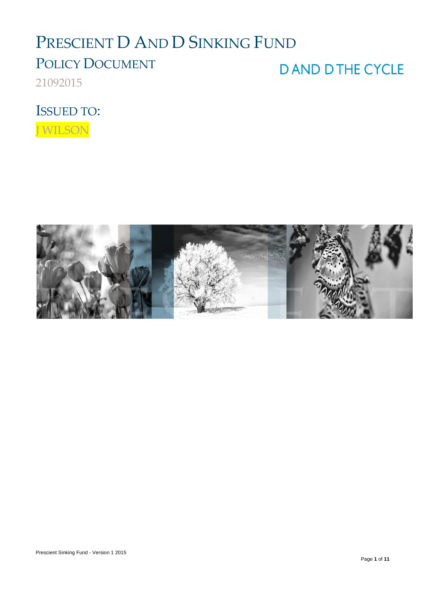# PRESCIENT D AND D SINKING FUND

## POLICY DOCUMENT

21092015

**DAND DTHE CYCLE** 

ISSUED TO:

J WILSON

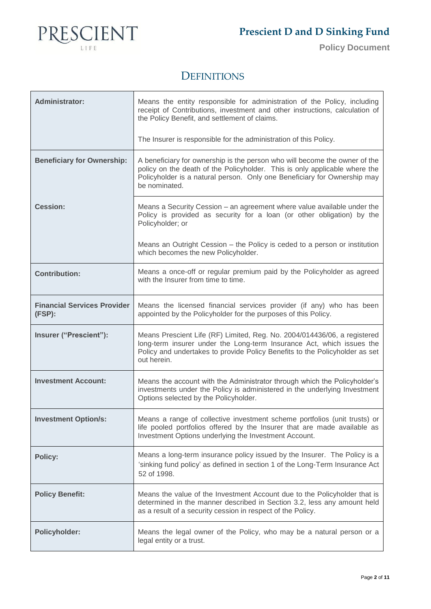

**Policy Document**

### **DEFINITIONS**

| <b>Administrator:</b>                        | Means the entity responsible for administration of the Policy, including<br>receipt of Contributions, investment and other instructions, calculation of<br>the Policy Benefit, and settlement of claims.                                              |
|----------------------------------------------|-------------------------------------------------------------------------------------------------------------------------------------------------------------------------------------------------------------------------------------------------------|
|                                              | The Insurer is responsible for the administration of this Policy.                                                                                                                                                                                     |
| <b>Beneficiary for Ownership:</b>            | A beneficiary for ownership is the person who will become the owner of the<br>policy on the death of the Policyholder. This is only applicable where the<br>Policyholder is a natural person. Only one Beneficiary for Ownership may<br>be nominated. |
| <b>Cession:</b>                              | Means a Security Cession - an agreement where value available under the<br>Policy is provided as security for a loan (or other obligation) by the<br>Policyholder; or                                                                                 |
|                                              | Means an Outright Cession – the Policy is ceded to a person or institution<br>which becomes the new Policyholder.                                                                                                                                     |
| <b>Contribution:</b>                         | Means a once-off or regular premium paid by the Policyholder as agreed<br>with the Insurer from time to time.                                                                                                                                         |
| <b>Financial Services Provider</b><br>(FSP): | Means the licensed financial services provider (if any) who has been<br>appointed by the Policyholder for the purposes of this Policy.                                                                                                                |
| Insurer ("Prescient"):                       | Means Prescient Life (RF) Limited, Reg. No. 2004/014436/06, a registered<br>long-term insurer under the Long-term Insurance Act, which issues the<br>Policy and undertakes to provide Policy Benefits to the Policyholder as set<br>out herein.       |
| <b>Investment Account:</b>                   | Means the account with the Administrator through which the Policyholder's<br>investments under the Policy is administered in the underlying Investment<br>Options selected by the Policyholder.                                                       |
| <b>Investment Option/s:</b>                  | Means a range of collective investment scheme portfolios (unit trusts) or<br>life pooled portfolios offered by the Insurer that are made available as<br>Investment Options underlying the Investment Account.                                        |
| <b>Policy:</b>                               | Means a long-term insurance policy issued by the Insurer. The Policy is a<br>'sinking fund policy' as defined in section 1 of the Long-Term Insurance Act<br>52 of 1998.                                                                              |
| <b>Policy Benefit:</b>                       | Means the value of the Investment Account due to the Policyholder that is<br>determined in the manner described in Section 3.2, less any amount held<br>as a result of a security cession in respect of the Policy.                                   |
| <b>Policyholder:</b>                         | Means the legal owner of the Policy, who may be a natural person or a<br>legal entity or a trust.                                                                                                                                                     |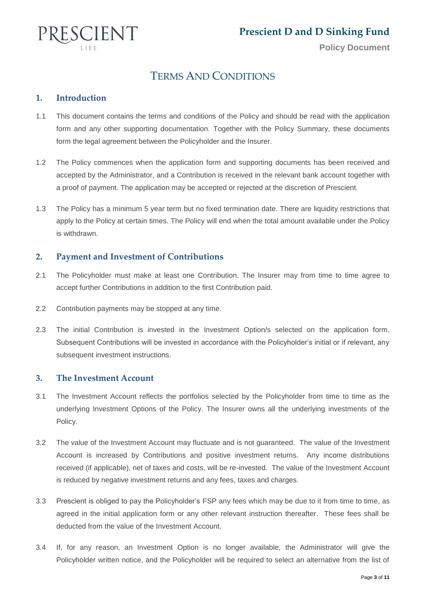

### TERMS AND CONDITIONS

### **1. Introduction**

- 1.1 This document contains the terms and conditions of the Policy and should be read with the application form and any other supporting documentation. Together with the Policy Summary, these documents form the legal agreement between the Policyholder and the Insurer.
- 1.2 The Policy commences when the application form and supporting documents has been received and accepted by the Administrator, and a Contribution is received in the relevant bank account together with a proof of payment. The application may be accepted or rejected at the discretion of Prescient.
- 1.3 The Policy has a minimum 5 year term but no fixed termination date. There are liquidity restrictions that apply to the Policy at certain times. The Policy will end when the total amount available under the Policy is withdrawn.

### **2. Payment and Investment of Contributions**

- 2.1 The Policyholder must make at least one Contribution. The Insurer may from time to time agree to accept further Contributions in addition to the first Contribution paid.
- 2.2 Contribution payments may be stopped at any time.
- 2.3 The initial Contribution is invested in the Investment Option/s selected on the application form. Subsequent Contributions will be invested in accordance with the Policyholder's initial or if relevant, any subsequent investment instructions.

### **3. The Investment Account**

- 3.1 The Investment Account reflects the portfolios selected by the Policyholder from time to time as the underlying Investment Options of the Policy. The Insurer owns all the underlying investments of the Policy.
- 3.2 The value of the Investment Account may fluctuate and is not guaranteed. The value of the Investment Account is increased by Contributions and positive investment returns. Any income distributions received (if applicable), net of taxes and costs, will be re-invested. The value of the Investment Account is reduced by negative investment returns and any fees, taxes and charges.
- 3.3 Prescient is obliged to pay the Policyholder's FSP any fees which may be due to it from time to time, as agreed in the initial application form or any other relevant instruction thereafter. These fees shall be deducted from the value of the Investment Account.
- 3.4 If, for any reason, an Investment Option is no longer available, the Administrator will give the Policyholder written notice, and the Policyholder will be required to select an alternative from the list of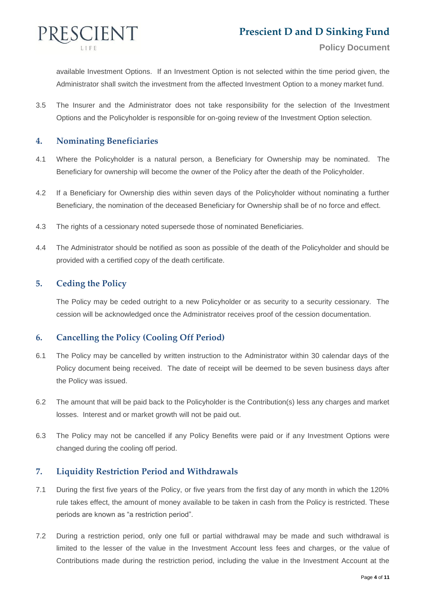

available Investment Options. If an Investment Option is not selected within the time period given, the Administrator shall switch the investment from the affected Investment Option to a money market fund.

3.5 The Insurer and the Administrator does not take responsibility for the selection of the Investment Options and the Policyholder is responsible for on-going review of the Investment Option selection.

### **4. Nominating Beneficiaries**

- 4.1 Where the Policyholder is a natural person, a Beneficiary for Ownership may be nominated. The Beneficiary for ownership will become the owner of the Policy after the death of the Policyholder.
- 4.2 If a Beneficiary for Ownership dies within seven days of the Policyholder without nominating a further Beneficiary, the nomination of the deceased Beneficiary for Ownership shall be of no force and effect.
- 4.3 The rights of a cessionary noted supersede those of nominated Beneficiaries.
- 4.4 The Administrator should be notified as soon as possible of the death of the Policyholder and should be provided with a certified copy of the death certificate.

### **5. Ceding the Policy**

The Policy may be ceded outright to a new Policyholder or as security to a security cessionary. The cession will be acknowledged once the Administrator receives proof of the cession documentation.

### **6. Cancelling the Policy (Cooling Off Period)**

- 6.1 The Policy may be cancelled by written instruction to the Administrator within 30 calendar days of the Policy document being received. The date of receipt will be deemed to be seven business days after the Policy was issued.
- 6.2 The amount that will be paid back to the Policyholder is the Contribution(s) less any charges and market losses. Interest and or market growth will not be paid out.
- 6.3 The Policy may not be cancelled if any Policy Benefits were paid or if any Investment Options were changed during the cooling off period.

### **7. Liquidity Restriction Period and Withdrawals**

- 7.1 During the first five years of the Policy, or five years from the first day of any month in which the 120% rule takes effect, the amount of money available to be taken in cash from the Policy is restricted. These periods are known as "a restriction period".
- 7.2 During a restriction period, only one full or partial withdrawal may be made and such withdrawal is limited to the lesser of the value in the Investment Account less fees and charges, or the value of Contributions made during the restriction period, including the value in the Investment Account at the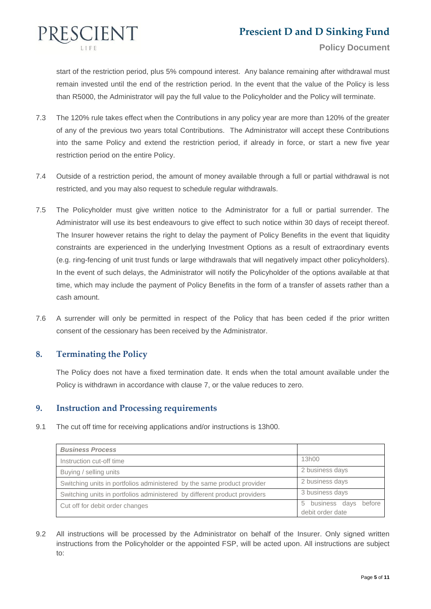

start of the restriction period, plus 5% compound interest. Any balance remaining after withdrawal must remain invested until the end of the restriction period. In the event that the value of the Policy is less than R5000, the Administrator will pay the full value to the Policyholder and the Policy will terminate.

- 7.3 The 120% rule takes effect when the Contributions in any policy year are more than 120% of the greater of any of the previous two years total Contributions. The Administrator will accept these Contributions into the same Policy and extend the restriction period, if already in force, or start a new five year restriction period on the entire Policy.
- 7.4 Outside of a restriction period, the amount of money available through a full or partial withdrawal is not restricted, and you may also request to schedule regular withdrawals.
- 7.5 The Policyholder must give written notice to the Administrator for a full or partial surrender. The Administrator will use its best endeavours to give effect to such notice within 30 days of receipt thereof. The Insurer however retains the right to delay the payment of Policy Benefits in the event that liquidity constraints are experienced in the underlying Investment Options as a result of extraordinary events (e.g. ring-fencing of unit trust funds or large withdrawals that will negatively impact other policyholders). In the event of such delays, the Administrator will notify the Policyholder of the options available at that time, which may include the payment of Policy Benefits in the form of a transfer of assets rather than a cash amount.
- 7.6 A surrender will only be permitted in respect of the Policy that has been ceded if the prior written consent of the cessionary has been received by the Administrator.

### **8. Terminating the Policy**

The Policy does not have a fixed termination date. It ends when the total amount available under the Policy is withdrawn in accordance with clause 7, or the value reduces to zero.

### **9. Instruction and Processing requirements**

9.1 The cut off time for receiving applications and/or instructions is 13h00.

| <b>Business Process</b>                                                   |                                                  |
|---------------------------------------------------------------------------|--------------------------------------------------|
| Instruction cut-off time                                                  | 13h00                                            |
| Buying / selling units                                                    | 2 business days                                  |
| Switching units in portfolios administered by the same product provider   | 2 business days                                  |
| Switching units in portfolios administered by different product providers | 3 business days                                  |
| Cut off for debit order changes                                           | before<br>business days<br>5<br>debit order date |

9.2 All instructions will be processed by the Administrator on behalf of the Insurer. Only signed written instructions from the Policyholder or the appointed FSP, will be acted upon. All instructions are subject to: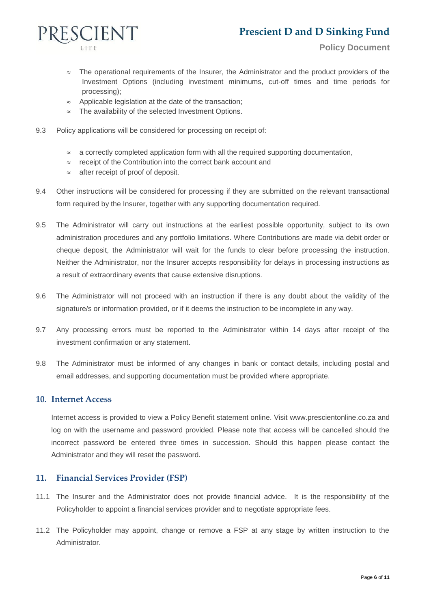### **Prescient D and D Sinking Fund**



- $\approx$  The operational requirements of the Insurer, the Administrator and the product providers of the Investment Options (including investment minimums, cut-off times and time periods for processing);
- $\approx$  Applicable legislation at the date of the transaction;
- $\approx$  The availability of the selected Investment Options.
- 9.3 Policy applications will be considered for processing on receipt of:
	- $\approx$  a correctly completed application form with all the required supporting documentation,
	- $\approx$  receipt of the Contribution into the correct bank account and
	- $\approx$  after receipt of proof of deposit.
- 9.4 Other instructions will be considered for processing if they are submitted on the relevant transactional form required by the Insurer, together with any supporting documentation required.
- 9.5 The Administrator will carry out instructions at the earliest possible opportunity, subject to its own administration procedures and any portfolio limitations. Where Contributions are made via debit order or cheque deposit, the Administrator will wait for the funds to clear before processing the instruction. Neither the Administrator, nor the Insurer accepts responsibility for delays in processing instructions as a result of extraordinary events that cause extensive disruptions.
- 9.6 The Administrator will not proceed with an instruction if there is any doubt about the validity of the signature/s or information provided, or if it deems the instruction to be incomplete in any way.
- 9.7 Any processing errors must be reported to the Administrator within 14 days after receipt of the investment confirmation or any statement.
- 9.8 The Administrator must be informed of any changes in bank or contact details, including postal and email addresses, and supporting documentation must be provided where appropriate.

#### **10. Internet Access**

Internet access is provided to view a Policy Benefit statement online. Visit [www.prescientonline.co.za](http://www.prescientonline.co.za/) and log on with the username and password provided. Please note that access will be cancelled should the incorrect password be entered three times in succession. Should this happen please contact the Administrator and they will reset the password.

#### **11. Financial Services Provider (FSP)**

- 11.1 The Insurer and the Administrator does not provide financial advice. It is the responsibility of the Policyholder to appoint a financial services provider and to negotiate appropriate fees.
- 11.2 The Policyholder may appoint, change or remove a FSP at any stage by written instruction to the Administrator.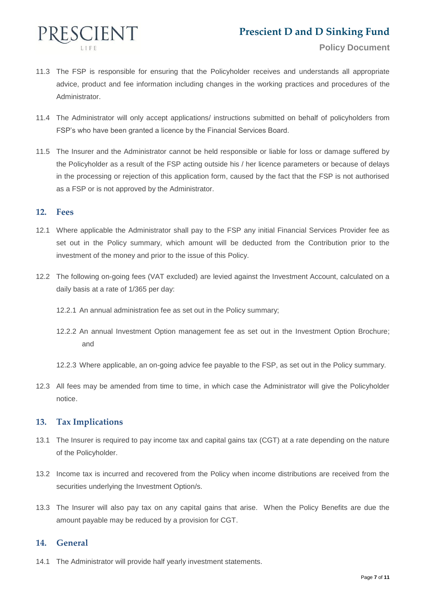

- 11.3 The FSP is responsible for ensuring that the Policyholder receives and understands all appropriate advice, product and fee information including changes in the working practices and procedures of the Administrator.
- 11.4 The Administrator will only accept applications/ instructions submitted on behalf of policyholders from FSP's who have been granted a licence by the Financial Services Board.
- 11.5 The Insurer and the Administrator cannot be held responsible or liable for loss or damage suffered by the Policyholder as a result of the FSP acting outside his / her licence parameters or because of delays in the processing or rejection of this application form, caused by the fact that the FSP is not authorised as a FSP or is not approved by the Administrator.

#### **12. Fees**

- 12.1 Where applicable the Administrator shall pay to the FSP any initial Financial Services Provider fee as set out in the Policy summary, which amount will be deducted from the Contribution prior to the investment of the money and prior to the issue of this Policy.
- 12.2 The following on-going fees (VAT excluded) are levied against the Investment Account, calculated on a daily basis at a rate of 1/365 per day:
	- 12.2.1 An annual administration fee as set out in the Policy summary;
	- 12.2.2 An annual Investment Option management fee as set out in the Investment Option Brochure; and
	- 12.2.3 Where applicable, an on-going advice fee payable to the FSP, as set out in the Policy summary.
- 12.3 All fees may be amended from time to time, in which case the Administrator will give the Policyholder notice.

### **13. Tax Implications**

- 13.1 The Insurer is required to pay income tax and capital gains tax (CGT) at a rate depending on the nature of the Policyholder.
- 13.2 Income tax is incurred and recovered from the Policy when income distributions are received from the securities underlying the Investment Option/s.
- 13.3 The Insurer will also pay tax on any capital gains that arise. When the Policy Benefits are due the amount payable may be reduced by a provision for CGT.

### **14. General**

14.1 The Administrator will provide half yearly investment statements.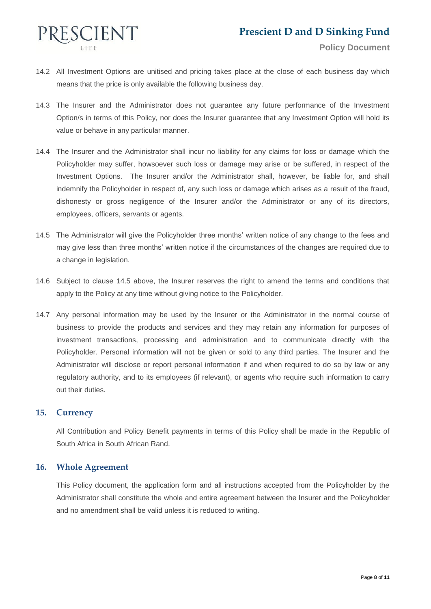

- 14.2 All Investment Options are unitised and pricing takes place at the close of each business day which means that the price is only available the following business day.
- 14.3 The Insurer and the Administrator does not guarantee any future performance of the Investment Option/s in terms of this Policy, nor does the Insurer guarantee that any Investment Option will hold its value or behave in any particular manner.
- 14.4 The Insurer and the Administrator shall incur no liability for any claims for loss or damage which the Policyholder may suffer, howsoever such loss or damage may arise or be suffered, in respect of the Investment Options. The Insurer and/or the Administrator shall, however, be liable for, and shall indemnify the Policyholder in respect of, any such loss or damage which arises as a result of the fraud, dishonesty or gross negligence of the Insurer and/or the Administrator or any of its directors, employees, officers, servants or agents.
- 14.5 The Administrator will give the Policyholder three months' written notice of any change to the fees and may give less than three months' written notice if the circumstances of the changes are required due to a change in legislation.
- 14.6 Subject to clause 14.5 above, the Insurer reserves the right to amend the terms and conditions that apply to the Policy at any time without giving notice to the Policyholder.
- 14.7 Any personal information may be used by the Insurer or the Administrator in the normal course of business to provide the products and services and they may retain any information for purposes of investment transactions, processing and administration and to communicate directly with the Policyholder. Personal information will not be given or sold to any third parties. The Insurer and the Administrator will disclose or report personal information if and when required to do so by law or any regulatory authority, and to its employees (if relevant), or agents who require such information to carry out their duties.

### **15. Currency**

All Contribution and Policy Benefit payments in terms of this Policy shall be made in the Republic of South Africa in South African Rand.

### **16. Whole Agreement**

This Policy document, the application form and all instructions accepted from the Policyholder by the Administrator shall constitute the whole and entire agreement between the Insurer and the Policyholder and no amendment shall be valid unless it is reduced to writing.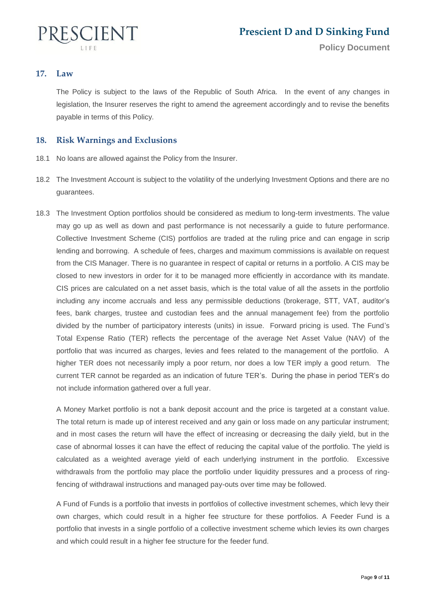

### **17. Law**

The Policy is subject to the laws of the Republic of South Africa. In the event of any changes in legislation, the Insurer reserves the right to amend the agreement accordingly and to revise the benefits payable in terms of this Policy.

### **18. Risk Warnings and Exclusions**

- 18.1 No loans are allowed against the Policy from the Insurer.
- 18.2 The Investment Account is subject to the volatility of the underlying Investment Options and there are no guarantees.
- 18.3 The Investment Option portfolios should be considered as medium to long-term investments. The value may go up as well as down and past performance is not necessarily a guide to future performance. Collective Investment Scheme (CIS) portfolios are traded at the ruling price and can engage in scrip lending and borrowing. A schedule of fees, charges and maximum commissions is available on request from the CIS Manager. There is no guarantee in respect of capital or returns in a portfolio. A CIS may be closed to new investors in order for it to be managed more efficiently in accordance with its mandate. CIS prices are calculated on a net asset basis, which is the total value of all the assets in the portfolio including any income accruals and less any permissible deductions (brokerage, STT, VAT, auditor's fees, bank charges, trustee and custodian fees and the annual management fee) from the portfolio divided by the number of participatory interests (units) in issue. Forward pricing is used. The Fund's Total Expense Ratio (TER) reflects the percentage of the average Net Asset Value (NAV) of the portfolio that was incurred as charges, levies and fees related to the management of the portfolio. A higher TER does not necessarily imply a poor return, nor does a low TER imply a good return. The current TER cannot be regarded as an indication of future TER's. During the phase in period TER's do not include information gathered over a full year.

A Money Market portfolio is not a bank deposit account and the price is targeted at a constant value. The total return is made up of interest received and any gain or loss made on any particular instrument; and in most cases the return will have the effect of increasing or decreasing the daily yield, but in the case of abnormal losses it can have the effect of reducing the capital value of the portfolio. The yield is calculated as a weighted average yield of each underlying instrument in the portfolio. Excessive withdrawals from the portfolio may place the portfolio under liquidity pressures and a process of ringfencing of withdrawal instructions and managed pay-outs over time may be followed.

A Fund of Funds is a portfolio that invests in portfolios of collective investment schemes, which levy their own charges, which could result in a higher fee structure for these portfolios. A Feeder Fund is a portfolio that invests in a single portfolio of a collective investment scheme which levies its own charges and which could result in a higher fee structure for the feeder fund.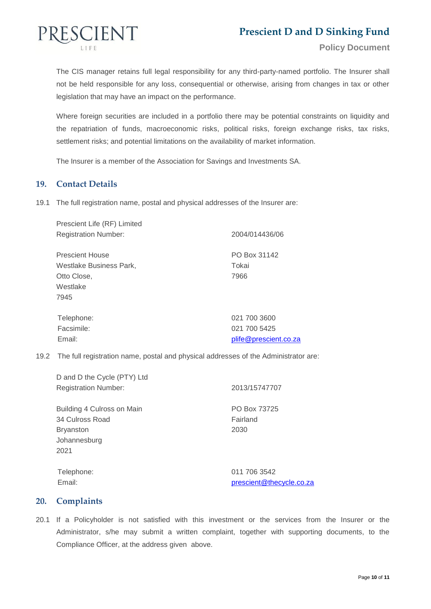

The CIS manager retains full legal responsibility for any third-party-named portfolio. The Insurer shall not be held responsible for any loss, consequential or otherwise, arising from changes in tax or other legislation that may have an impact on the performance.

Where foreign securities are included in a portfolio there may be potential constraints on liquidity and the repatriation of funds, macroeconomic risks, political risks, foreign exchange risks, tax risks, settlement risks; and potential limitations on the availability of market information.

The Insurer is a member of the Association for Savings and Investments SA.

### **19. Contact Details**

19.1 The full registration name, postal and physical addresses of the Insurer are:

| 2004/014436/06        |
|-----------------------|
| PO Box 31142          |
| Tokai                 |
| 7966                  |
|                       |
|                       |
| 021 700 3600          |
| 021 700 5425          |
| plife@prescient.co.za |
|                       |

19.2 The full registration name, postal and physical addresses of the Administrator are:

| D and D the Cycle (PTY) Ltd |                          |
|-----------------------------|--------------------------|
| <b>Registration Number:</b> | 2013/15747707            |
| Building 4 Culross on Main  | PO Box 73725             |
| 34 Culross Road             | Fairland                 |
| <b>Bryanston</b>            | 2030                     |
| Johannesburg                |                          |
| 2021                        |                          |
| Telephone:                  | 011 706 3542             |
| Email:                      | prescient@thecycle.co.za |

**20. Complaints**

20.1 If a Policyholder is not satisfied with this investment or the services from the Insurer or the Administrator, s/he may submit a written complaint, together with supporting documents, to the Compliance Officer, at the address given above.